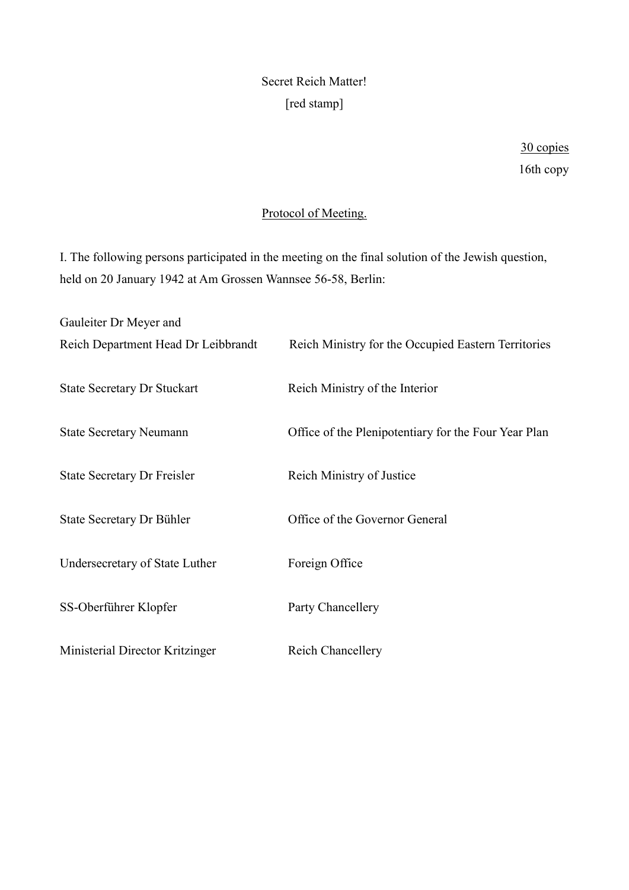# Secret Reich Matter! [red stamp]

# Protocol of Meeting.

I. The following persons participated in the meeting on the final solution of the Jewish question, held on 20 January 1942 at Am Grossen Wannsee 56-58, Berlin:

| Gauleiter Dr Meyer and              |                                                      |
|-------------------------------------|------------------------------------------------------|
| Reich Department Head Dr Leibbrandt | Reich Ministry for the Occupied Eastern Territories  |
| <b>State Secretary Dr Stuckart</b>  | Reich Ministry of the Interior                       |
| <b>State Secretary Neumann</b>      | Office of the Plenipotentiary for the Four Year Plan |
| <b>State Secretary Dr Freisler</b>  | Reich Ministry of Justice                            |
| State Secretary Dr Bühler           | Office of the Governor General                       |
| Undersecretary of State Luther      | Foreign Office                                       |
| SS-Oberführer Klopfer               | Party Chancellery                                    |
| Ministerial Director Kritzinger     | <b>Reich Chancellery</b>                             |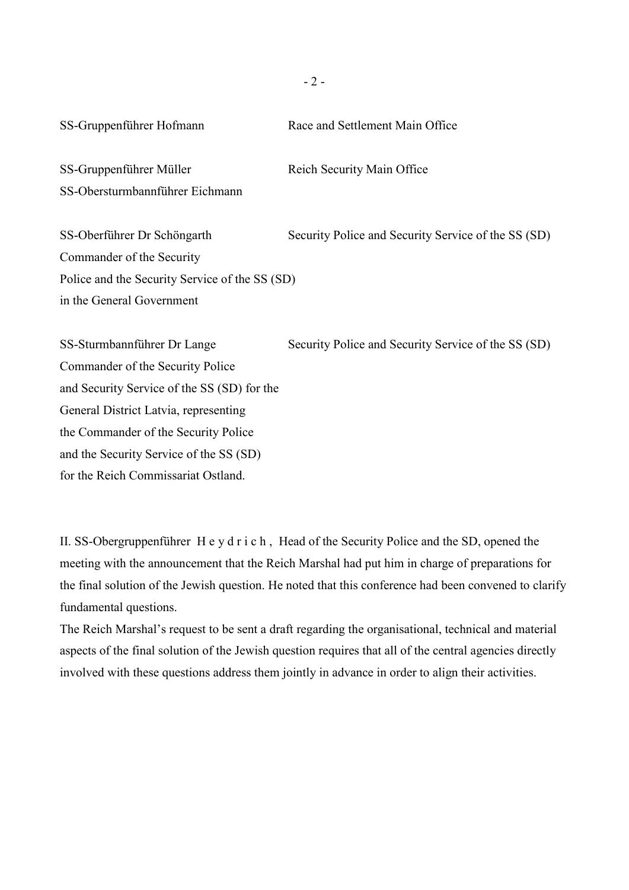- 2 -

SS-Gruppenführer Hofmann Race and Settlement Main Office

SS-Gruppenführer Müller Reich Security Main Office SS-Obersturmbannführer Eichmann

SS-Oberführer Dr Schöngarth Security Police and Security Service of the SS (SD) Commander of the Security Police and the Security Service of the SS (SD) in the General Government

SS-Sturmbannführer Dr Lange Security Police and Security Service of the SS (SD) Commander of the Security Police and Security Service of the SS (SD) for the General District Latvia, representing the Commander of the Security Police and the Security Service of the SS (SD) for the Reich Commissariat Ostland.

II. SS-Obergruppenführer H e y d r i c h , Head of the Security Police and the SD, opened the meeting with the announcement that the Reich Marshal had put him in charge of preparations for the final solution of the Jewish question. He noted that this conference had been convened to clarify fundamental questions.

The Reich Marshal's request to be sent a draft regarding the organisational, technical and material aspects of the final solution of the Jewish question requires that all of the central agencies directly involved with these questions address them jointly in advance in order to align their activities.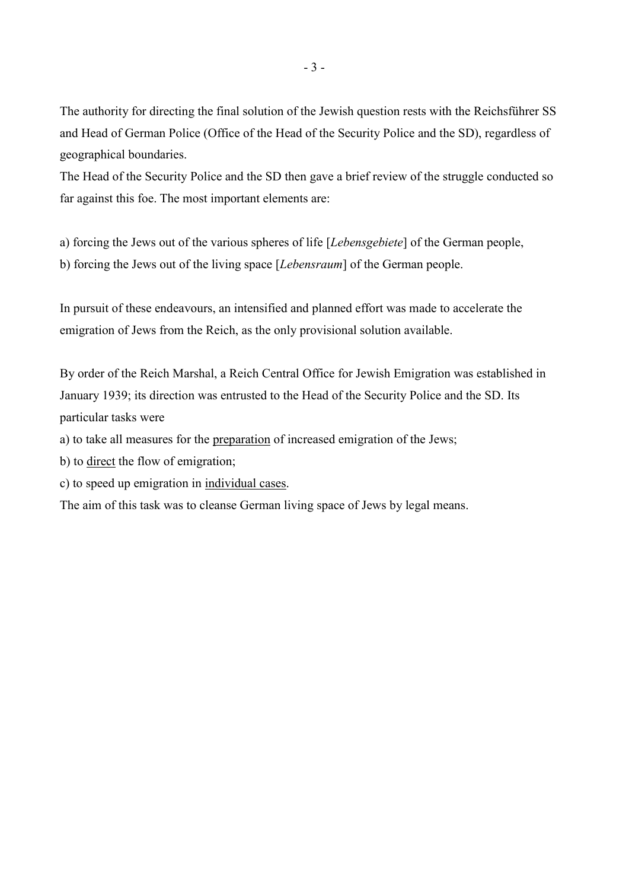The authority for directing the final solution of the Jewish question rests with the Reichsführer SS and Head of German Police (Office of the Head of the Security Police and the SD), regardless of geographical boundaries.

The Head of the Security Police and the SD then gave a brief review of the struggle conducted so far against this foe. The most important elements are:

a) forcing the Jews out of the various spheres of life [*Lebensgebiete*] of the German people, b) forcing the Jews out of the living space [*Lebensraum*] of the German people.

In pursuit of these endeavours, an intensified and planned effort was made to accelerate the emigration of Jews from the Reich, as the only provisional solution available.

By order of the Reich Marshal, a Reich Central Office for Jewish Emigration was established in January 1939; its direction was entrusted to the Head of the Security Police and the SD. Its particular tasks were

a) to take all measures for the preparation of increased emigration of the Jews;

b) to direct the flow of emigration;

c) to speed up emigration in individual cases.

The aim of this task was to cleanse German living space of Jews by legal means.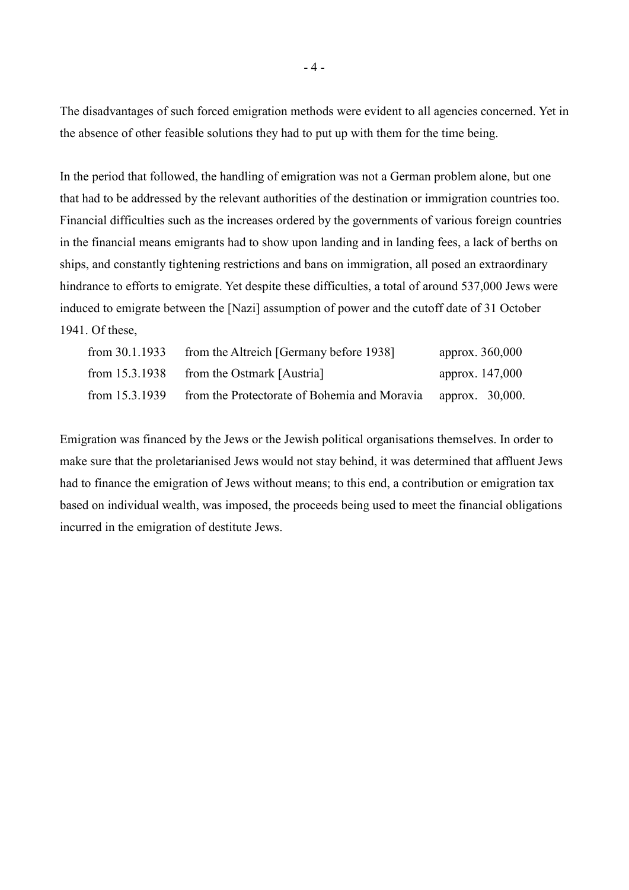The disadvantages of such forced emigration methods were evident to all agencies concerned. Yet in the absence of other feasible solutions they had to put up with them for the time being.

In the period that followed, the handling of emigration was not a German problem alone, but one that had to be addressed by the relevant authorities of the destination or immigration countries too. Financial difficulties such as the increases ordered by the governments of various foreign countries in the financial means emigrants had to show upon landing and in landing fees, a lack of berths on ships, and constantly tightening restrictions and bans on immigration, all posed an extraordinary hindrance to efforts to emigrate. Yet despite these difficulties, a total of around 537,000 Jews were induced to emigrate between the [Nazi] assumption of power and the cutoff date of 31 October 1941. Of these,

| from 30.1.1933 | from the Altreich [Germany before 1938]                      | approx. 360,000 |
|----------------|--------------------------------------------------------------|-----------------|
| from 15.3.1938 | from the Ostmark [Austria]                                   | approx. 147,000 |
| from 15.3.1939 | from the Protectorate of Bohemia and Moravia approx. 30,000. |                 |

Emigration was financed by the Jews or the Jewish political organisations themselves. In order to make sure that the proletarianised Jews would not stay behind, it was determined that affluent Jews had to finance the emigration of Jews without means; to this end, a contribution or emigration tax based on individual wealth, was imposed, the proceeds being used to meet the financial obligations incurred in the emigration of destitute Jews.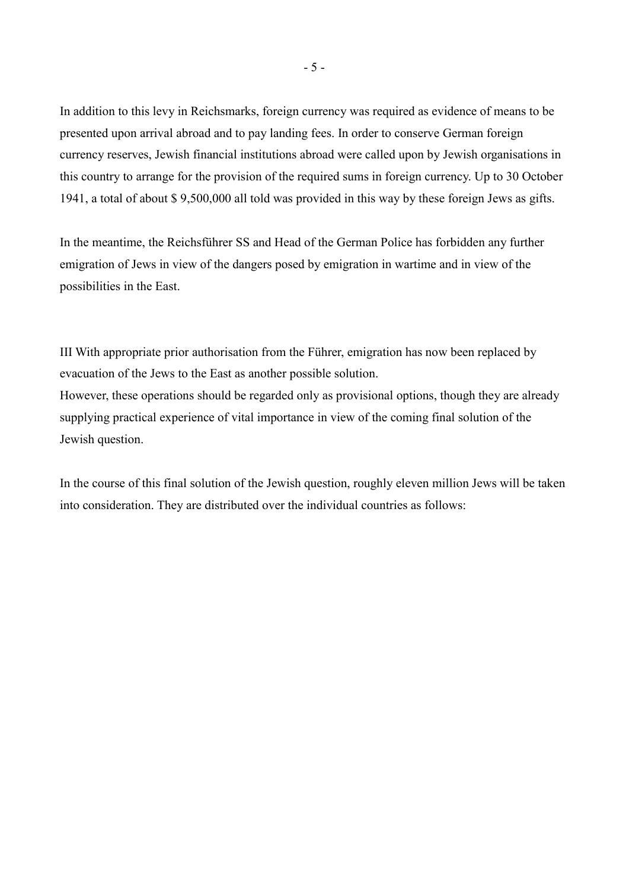In addition to this levy in Reichsmarks, foreign currency was required as evidence of means to be presented upon arrival abroad and to pay landing fees. In order to conserve German foreign currency reserves, Jewish financial institutions abroad were called upon by Jewish organisations in this country to arrange for the provision of the required sums in foreign currency. Up to 30 October 1941, a total of about \$ 9,500,000 all told was provided in this way by these foreign Jews as gifts.

In the meantime, the Reichsführer SS and Head of the German Police has forbidden any further emigration of Jews in view of the dangers posed by emigration in wartime and in view of the possibilities in the East.

III With appropriate prior authorisation from the Führer, emigration has now been replaced by evacuation of the Jews to the East as another possible solution. However, these operations should be regarded only as provisional options, though they are already supplying practical experience of vital importance in view of the coming final solution of the Jewish question.

In the course of this final solution of the Jewish question, roughly eleven million Jews will be taken into consideration. They are distributed over the individual countries as follows: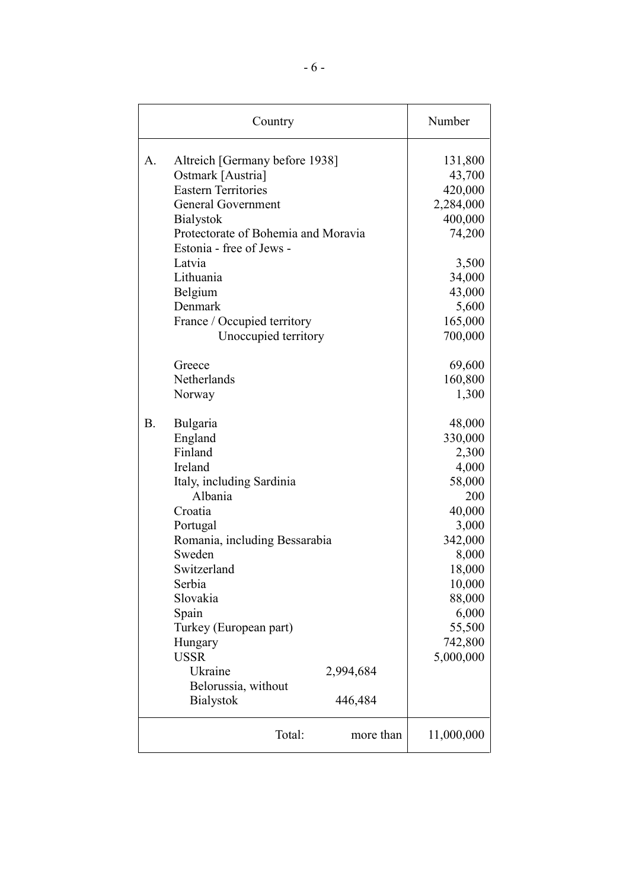| Country   |                                                         | Number           |
|-----------|---------------------------------------------------------|------------------|
| A.        | Altreich [Germany before 1938]                          | 131,800          |
|           | Ostmark [Austria]                                       | 43,700           |
|           | <b>Eastern Territories</b>                              | 420,000          |
|           | <b>General Government</b>                               | 2,284,000        |
|           | <b>Bialystok</b><br>Protectorate of Bohemia and Moravia | 400,000          |
|           | Estonia - free of Jews -                                | 74,200           |
|           | Latvia                                                  |                  |
|           | Lithuania                                               | 3,500            |
|           | Belgium                                                 | 34,000<br>43,000 |
|           | Denmark                                                 | 5,600            |
|           | France / Occupied territory                             | 165,000          |
|           | Unoccupied territory                                    | 700,000          |
|           |                                                         |                  |
|           | Greece                                                  | 69,600           |
|           | Netherlands                                             | 160,800          |
|           | Norway                                                  | 1,300            |
|           |                                                         |                  |
| <b>B.</b> | Bulgaria                                                | 48,000           |
|           | England                                                 | 330,000          |
|           | Finland                                                 | 2,300            |
|           | Ireland                                                 | 4,000            |
|           | Italy, including Sardinia                               | 58,000           |
|           | Albania                                                 | 200              |
|           | Croatia                                                 | 40,000           |
|           | Portugal                                                | 3,000            |
|           | Romania, including Bessarabia                           | 342,000          |
|           | Sweden                                                  | 8,000            |
|           | Switzerland                                             | 18,000           |
|           | Serbia                                                  | 10,000           |
|           | Slovakia                                                | 88,000           |
|           | Spain                                                   | 6,000            |
|           | Turkey (European part)                                  | 55,500           |
|           | Hungary                                                 | 742,800          |
|           | <b>USSR</b>                                             | 5,000,000        |
|           | Ukraine<br>2,994,684                                    |                  |
|           | Belorussia, without                                     |                  |
|           | <b>Bialystok</b><br>446,484                             |                  |
|           | Total:<br>more than                                     | 11,000,000       |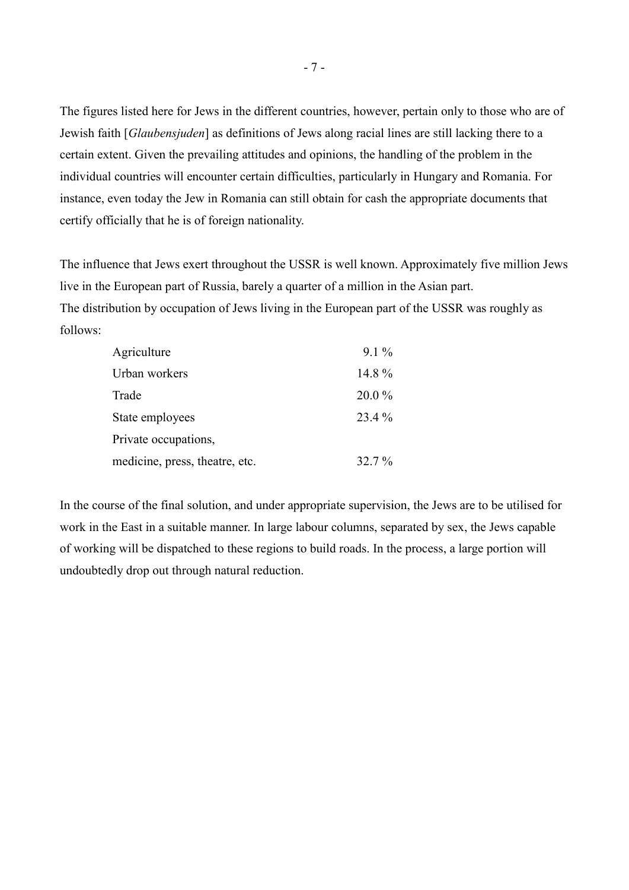The figures listed here for Jews in the different countries, however, pertain only to those who are of Jewish faith [*Glaubensjuden*] as definitions of Jews along racial lines are still lacking there to a certain extent. Given the prevailing attitudes and opinions, the handling of the problem in the individual countries will encounter certain difficulties, particularly in Hungary and Romania. For instance, even today the Jew in Romania can still obtain for cash the appropriate documents that certify officially that he is of foreign nationality.

The influence that Jews exert throughout the USSR is well known. Approximately five million Jews live in the European part of Russia, barely a quarter of a million in the Asian part. The distribution by occupation of Jews living in the European part of the USSR was roughly as follows:

| Agriculture                    | $9.1\%$ |
|--------------------------------|---------|
| Urban workers                  | 14.8 %  |
| Trade                          | 20.0 %  |
| State employees                | 23.4 %  |
| Private occupations,           |         |
| medicine, press, theatre, etc. | 32.7 %  |

In the course of the final solution, and under appropriate supervision, the Jews are to be utilised for work in the East in a suitable manner. In large labour columns, separated by sex, the Jews capable of working will be dispatched to these regions to build roads. In the process, a large portion will undoubtedly drop out through natural reduction.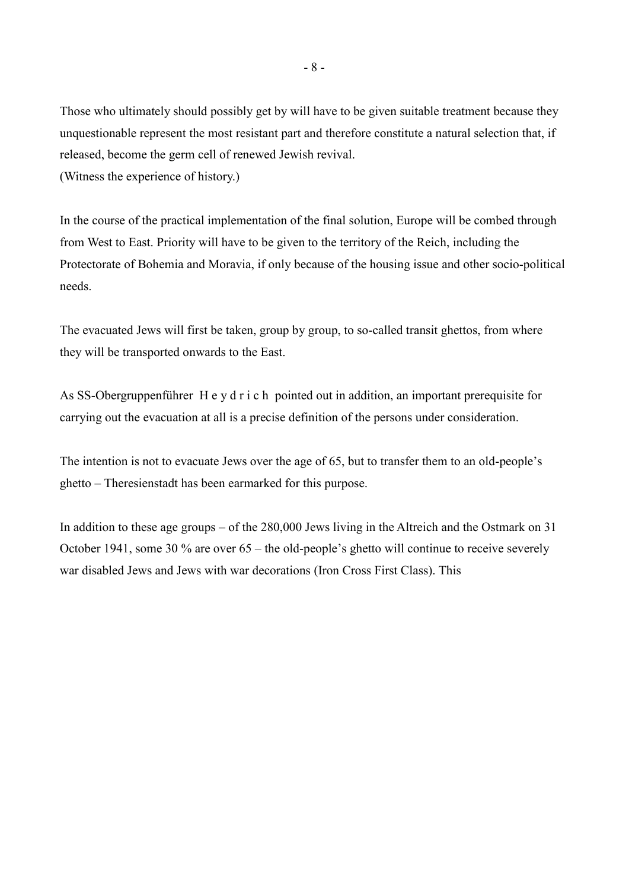Those who ultimately should possibly get by will have to be given suitable treatment because they unquestionable represent the most resistant part and therefore constitute a natural selection that, if released, become the germ cell of renewed Jewish revival. (Witness the experience of history.)

In the course of the practical implementation of the final solution, Europe will be combed through from West to East. Priority will have to be given to the territory of the Reich, including the Protectorate of Bohemia and Moravia, if only because of the housing issue and other socio-political needs.

The evacuated Jews will first be taken, group by group, to so-called transit ghettos, from where they will be transported onwards to the East.

As SS-Obergruppenführer H e y d r i c h pointed out in addition, an important prerequisite for carrying out the evacuation at all is a precise definition of the persons under consideration.

The intention is not to evacuate Jews over the age of 65, but to transfer them to an old-people's ghetto – Theresienstadt has been earmarked for this purpose.

In addition to these age groups – of the 280,000 Jews living in the Altreich and the Ostmark on 31 October 1941, some 30 % are over 65 – the old-people's ghetto will continue to receive severely war disabled Jews and Jews with war decorations (Iron Cross First Class). This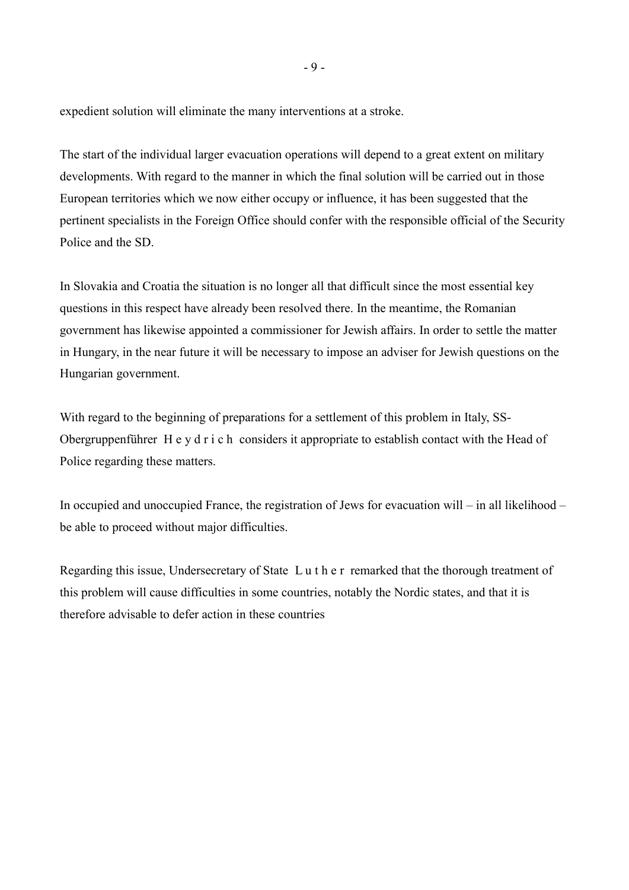expedient solution will eliminate the many interventions at a stroke.

The start of the individual larger evacuation operations will depend to a great extent on military developments. With regard to the manner in which the final solution will be carried out in those European territories which we now either occupy or influence, it has been suggested that the pertinent specialists in the Foreign Office should confer with the responsible official of the Security Police and the SD.

In Slovakia and Croatia the situation is no longer all that difficult since the most essential key questions in this respect have already been resolved there. In the meantime, the Romanian government has likewise appointed a commissioner for Jewish affairs. In order to settle the matter in Hungary, in the near future it will be necessary to impose an adviser for Jewish questions on the Hungarian government.

With regard to the beginning of preparations for a settlement of this problem in Italy, SS-Obergruppenführer H e y d r i c h considers it appropriate to establish contact with the Head of Police regarding these matters.

In occupied and unoccupied France, the registration of Jews for evacuation will – in all likelihood – be able to proceed without major difficulties.

Regarding this issue, Undersecretary of State L u t h e r remarked that the thorough treatment of this problem will cause difficulties in some countries, notably the Nordic states, and that it is therefore advisable to defer action in these countries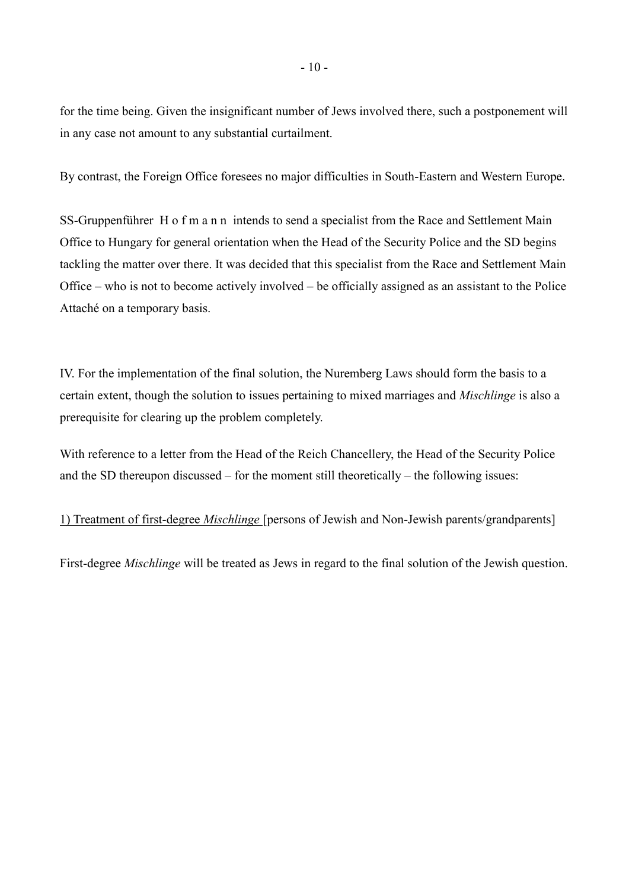for the time being. Given the insignificant number of Jews involved there, such a postponement will in any case not amount to any substantial curtailment.

By contrast, the Foreign Office foresees no major difficulties in South-Eastern and Western Europe.

SS-Gruppenführer H o f m a n n intends to send a specialist from the Race and Settlement Main Office to Hungary for general orientation when the Head of the Security Police and the SD begins tackling the matter over there. It was decided that this specialist from the Race and Settlement Main Office – who is not to become actively involved – be officially assigned as an assistant to the Police Attaché on a temporary basis.

IV. For the implementation of the final solution, the Nuremberg Laws should form the basis to a certain extent, though the solution to issues pertaining to mixed marriages and *Mischlinge* is also a prerequisite for clearing up the problem completely.

With reference to a letter from the Head of the Reich Chancellery, the Head of the Security Police and the SD thereupon discussed – for the moment still theoretically – the following issues:

1) Treatment of first-degree *Mischlinge* [persons of Jewish and Non-Jewish parents/grandparents]

First-degree *Mischlinge* will be treated as Jews in regard to the final solution of the Jewish question.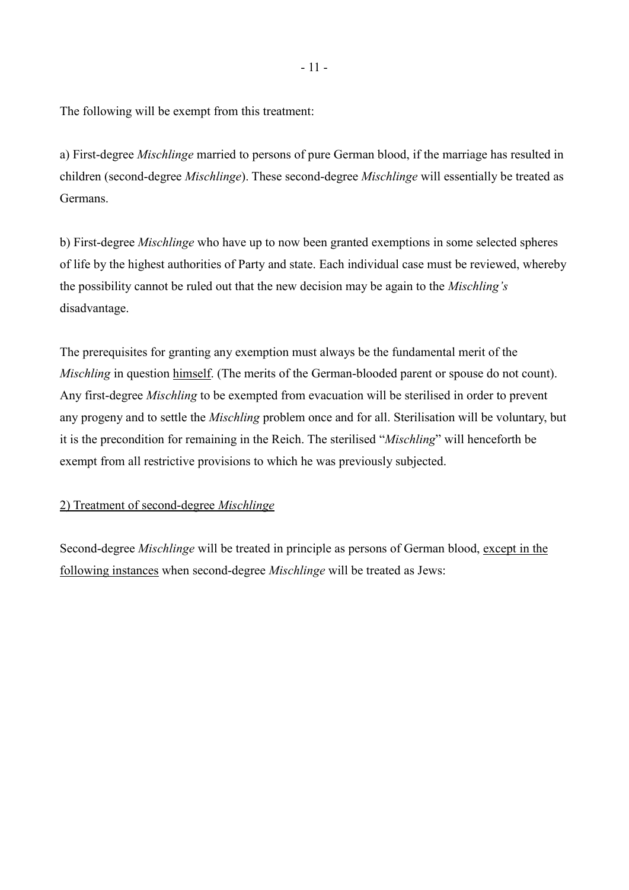The following will be exempt from this treatment:

a) First-degree *Mischlinge* married to persons of pure German blood, if the marriage has resulted in children (second-degree *Mischlinge*). These second-degree *Mischlinge* will essentially be treated as Germans.

b) First-degree *Mischlinge* who have up to now been granted exemptions in some selected spheres of life by the highest authorities of Party and state. Each individual case must be reviewed, whereby the possibility cannot be ruled out that the new decision may be again to the *Mischling's* disadvantage.

The prerequisites for granting any exemption must always be the fundamental merit of the *Mischling* in question himself. (The merits of the German-blooded parent or spouse do not count). Any first-degree *Mischling* to be exempted from evacuation will be sterilised in order to prevent any progeny and to settle the *Mischling* problem once and for all. Sterilisation will be voluntary, but it is the precondition for remaining in the Reich. The sterilised "*Mischling*" will henceforth be exempt from all restrictive provisions to which he was previously subjected.

#### 2) Treatment of second-degree *Mischlinge*

Second-degree *Mischlinge* will be treated in principle as persons of German blood, except in the following instances when second-degree *Mischlinge* will be treated as Jews: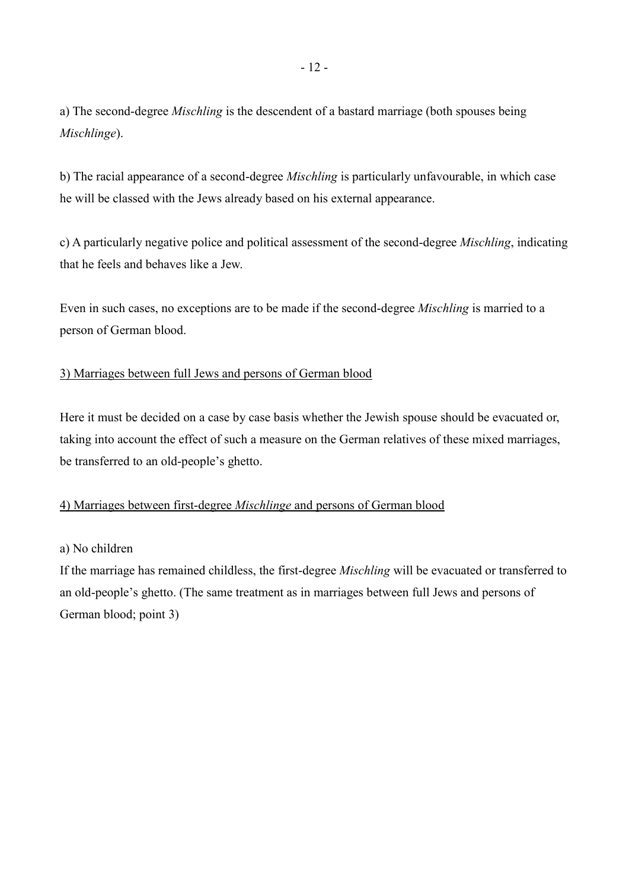a) The second-degree *Mischling* is the descendent of a bastard marriage (both spouses being *Mischlinge*).

b) The racial appearance of a second-degree *Mischling* is particularly unfavourable, in which case he will be classed with the Jews already based on his external appearance.

c) A particularly negative police and political assessment of the second-degree *Mischling*, indicating that he feels and behaves like a Jew.

Even in such cases, no exceptions are to be made if the second-degree *Mischling* is married to a person of German blood.

## 3) Marriages between full Jews and persons of German blood

Here it must be decided on a case by case basis whether the Jewish spouse should be evacuated or, taking into account the effect of such a measure on the German relatives of these mixed marriages, be transferred to an old-people's ghetto.

#### 4) Marriages between first-degree *Mischlinge* and persons of German blood

#### a) No children

If the marriage has remained childless, the first-degree *Mischling* will be evacuated or transferred to an old-people's ghetto. (The same treatment as in marriages between full Jews and persons of German blood; point 3)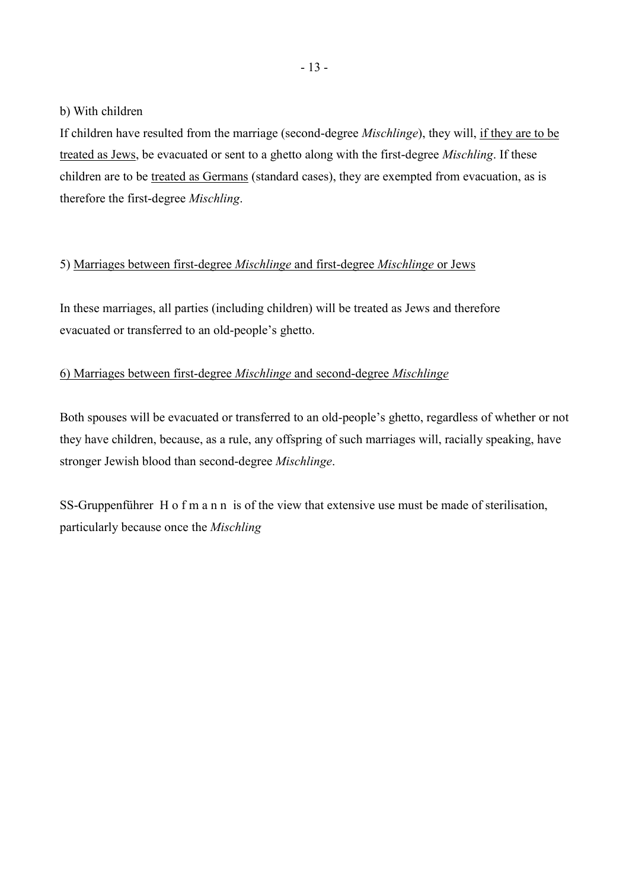b) With children

If children have resulted from the marriage (second-degree *Mischlinge*), they will, if they are to be treated as Jews, be evacuated or sent to a ghetto along with the first-degree *Mischling*. If these children are to be treated as Germans (standard cases), they are exempted from evacuation, as is therefore the first-degree *Mischling*.

#### 5) Marriages between first-degree *Mischlinge* and first-degree *Mischlinge* or Jews

In these marriages, all parties (including children) will be treated as Jews and therefore evacuated or transferred to an old-people's ghetto.

## 6) Marriages between first-degree *Mischlinge* and second-degree *Mischlinge*

Both spouses will be evacuated or transferred to an old-people's ghetto, regardless of whether or not they have children, because, as a rule, any offspring of such marriages will, racially speaking, have stronger Jewish blood than second-degree *Mischlinge*.

SS-Gruppenführer H o f m a n n is of the view that extensive use must be made of sterilisation, particularly because once the *Mischling*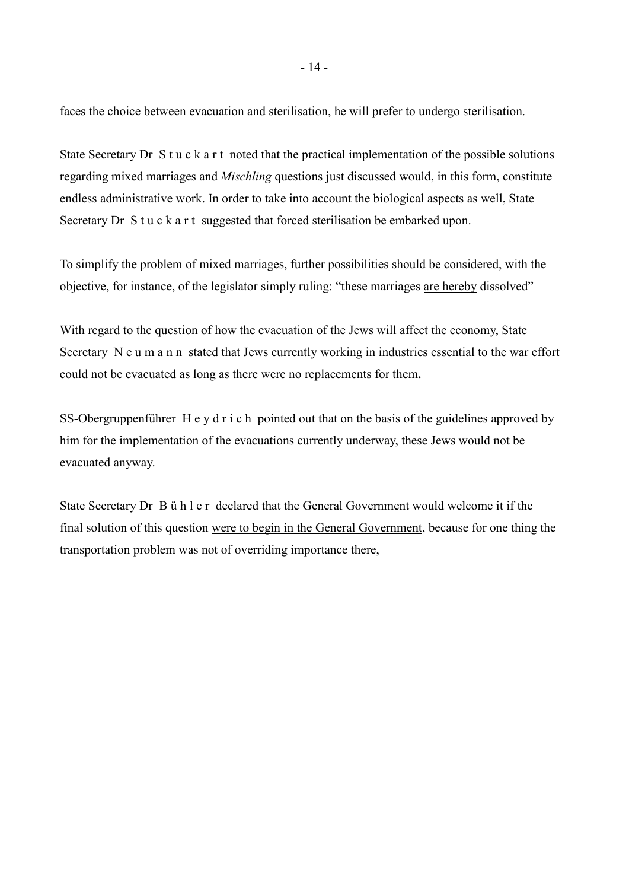faces the choice between evacuation and sterilisation, he will prefer to undergo sterilisation.

State Secretary Dr S t u c k a r t noted that the practical implementation of the possible solutions regarding mixed marriages and *Mischling* questions just discussed would, in this form, constitute endless administrative work. In order to take into account the biological aspects as well, State Secretary Dr S t u c k a r t suggested that forced sterilisation be embarked upon.

To simplify the problem of mixed marriages, further possibilities should be considered, with the objective, for instance, of the legislator simply ruling: "these marriages are hereby dissolved"

With regard to the question of how the evacuation of the Jews will affect the economy, State Secretary N e u m a n n stated that Jews currently working in industries essential to the war effort could not be evacuated as long as there were no replacements for them.

SS-Obergruppenführer H e y d r i c h pointed out that on the basis of the guidelines approved by him for the implementation of the evacuations currently underway, these Jews would not be evacuated anyway.

State Secretary Dr B ü h l e r declared that the General Government would welcome it if the final solution of this question were to begin in the General Government, because for one thing the transportation problem was not of overriding importance there,